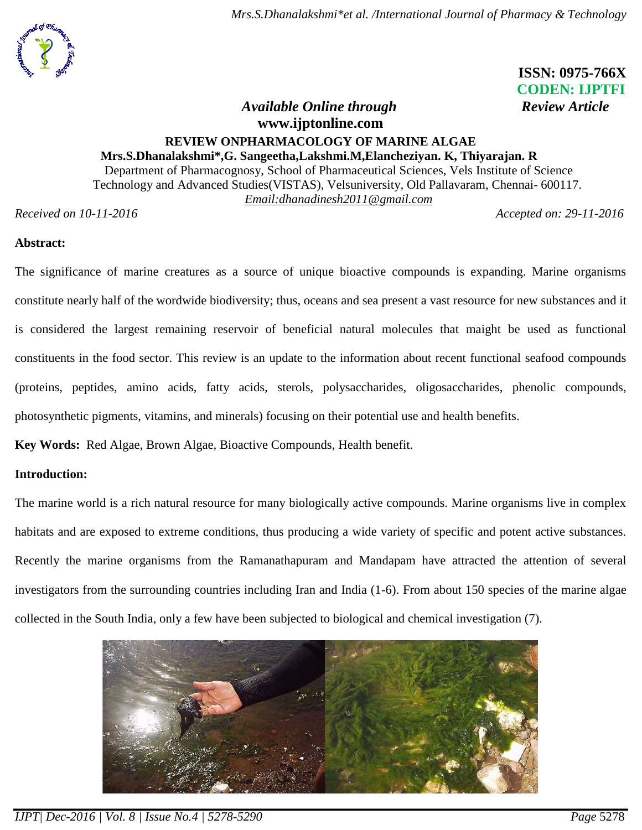

 **ISSN: 0975-766X CODEN: IJPTFI**

# *Available Online through Review Article* **[www.ijptonline.com](http://www.ijptonline.com/) REVIEW ONPHARMACOLOGY OF MARINE ALGAE**

**Mrs.S.Dhanalakshmi\*,G. Sangeetha,Lakshmi.M,Elancheziyan. K, Thiyarajan. R** Department of Pharmacognosy, School of Pharmaceutical Sciences, Vels Institute of Science Technology and Advanced Studies(VISTAS), Velsuniversity, Old Pallavaram, Chennai- 600117. *Email[:dhanadinesh2011@gmail.com](mailto:dhanadinesh2011@gmail.com)*

*Received on 10-11-2016 Accepted on: 29-11-2016*

#### **Abstract:**

The significance of marine creatures as a source of unique bioactive compounds is expanding. Marine organisms constitute nearly half of the wordwide biodiversity; thus, oceans and sea present a vast resource for new substances and it is considered the largest remaining reservoir of beneficial natural molecules that maight be used as functional constituents in the food sector. This review is an update to the information about recent functional seafood compounds (proteins, peptides, amino acids, fatty acids, sterols, polysaccharides, oligosaccharides, phenolic compounds, photosynthetic pigments, vitamins, and minerals) focusing on their potential use and health benefits.

**Key Words:** Red Algae, Brown Algae, Bioactive Compounds, Health benefit.

#### **Introduction:**

The marine world is a rich natural resource for many biologically active compounds. Marine organisms live in complex habitats and are exposed to extreme conditions, thus producing a wide variety of specific and potent active substances. Recently the marine organisms from the Ramanathapuram and Mandapam have attracted the attention of several investigators from the surrounding countries including Iran and India (1-6). From about 150 species of the marine algae collected in the South India, only a few have been subjected to biological and chemical investigation (7).

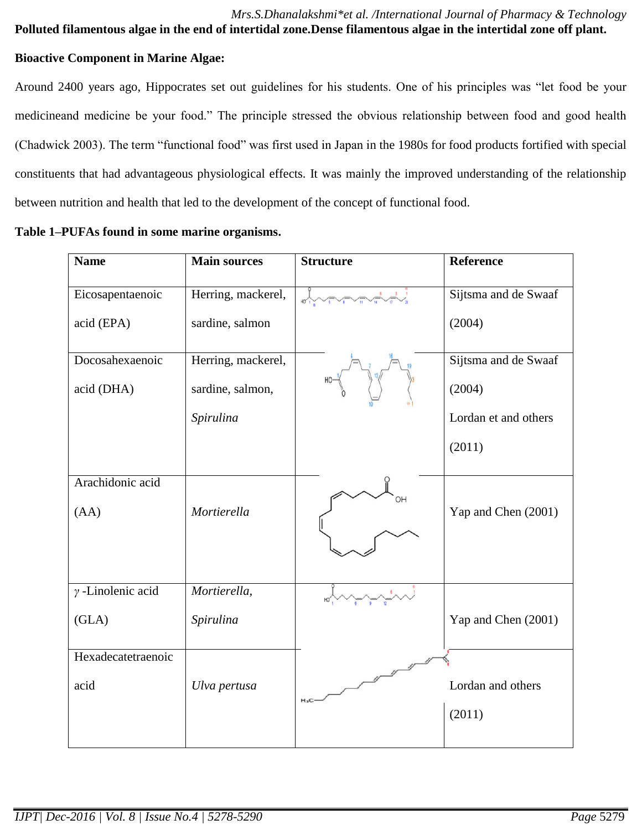#### *Mrs.S.Dhanalakshmi\*et al. /International Journal of Pharmacy & Technology* **Polluted filamentous algae in the end of intertidal zone.Dense filamentous algae in the intertidal zone off plant.**

#### **Bioactive Component in Marine Algae:**

Around 2400 years ago, Hippocrates set out guidelines for his students. One of his principles was "let food be your medicineand medicine be your food." The principle stressed the obvious relationship between food and good health (Chadwick 2003). The term "functional food" was first used in Japan in the 1980s for food products fortified with special constituents that had advantageous physiological effects. It was mainly the improved understanding of the relationship between nutrition and health that led to the development of the concept of functional food.

| <b>Name</b>              | <b>Main sources</b> | <b>Structure</b> | <b>Reference</b>     |
|--------------------------|---------------------|------------------|----------------------|
| Eicosapentaenoic         | Herring, mackerel,  |                  | Sijtsma and de Swaaf |
| acid (EPA)               | sardine, salmon     |                  | (2004)               |
| Docosahexaenoic          | Herring, mackerel,  |                  | Sijtsma and de Swaaf |
| acid (DHA)               | sardine, salmon,    |                  | (2004)               |
|                          | Spirulina           |                  | Lordan et and others |
|                          |                     |                  | (2011)               |
| Arachidonic acid<br>(AA) | Mortierella         | OН               | Yap and Chen (2001)  |
| $\gamma$ -Linolenic acid | Mortierella,        |                  |                      |
| (GLA)                    | Spirulina           |                  | Yap and Chen (2001)  |
| Hexadecatetraenoic       |                     |                  |                      |
| acid                     | Ulva pertusa        | $H_3C$           | Lordan and others    |
|                          |                     |                  | (2011)               |

#### **Table 1–PUFAs found in some marine organisms.**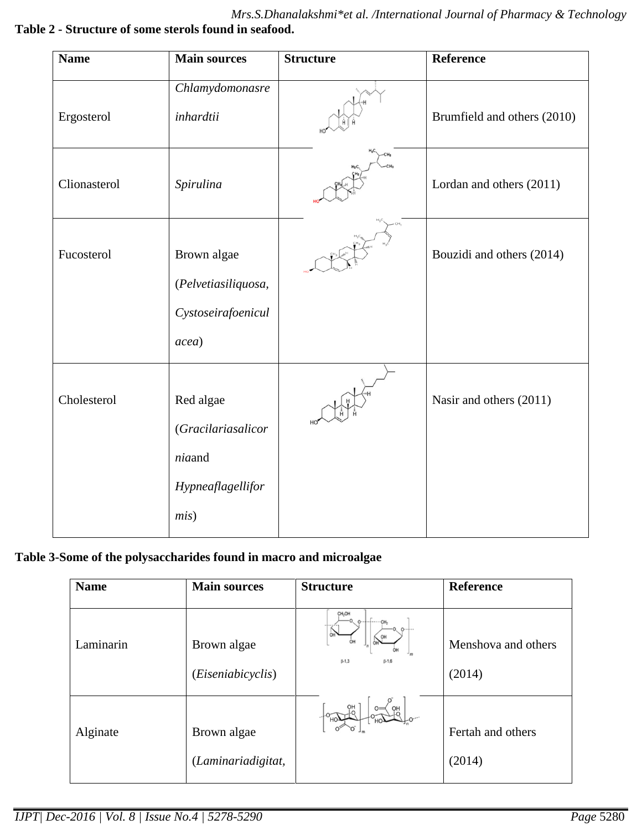*Mrs.S.Dhanalakshmi\*et al. /International Journal of Pharmacy & Technology* **Table 2 - Structure of some sterols found in seafood.**

| <b>Name</b>  | <b>Main sources</b>                       | <b>Structure</b> | Reference                   |
|--------------|-------------------------------------------|------------------|-----------------------------|
| Ergosterol   | Chlamydomonasre<br>inhardtii              |                  | Brumfield and others (2010) |
| Clionasterol | Spirulina                                 | $-CH3$           | Lordan and others (2011)    |
| Fucosterol   | Brown algae<br>(Pelvetiasiliquosa,        |                  | Bouzidi and others (2014)   |
|              | Cystoseirafoenicul                        |                  |                             |
|              | acea)                                     |                  |                             |
| Cholesterol  | Red algae<br>(Gracilariasalicor<br>niaand |                  | Nasir and others (2011)     |
|              | Hypneaflagellifor                         |                  |                             |
|              | mis)                                      |                  |                             |

## **Table 3-Some of the polysaccharides found in macro and microalgae**

| <b>Name</b> | <b>Main sources</b>                       | <b>Structure</b>                                            | <b>Reference</b>              |
|-------------|-------------------------------------------|-------------------------------------------------------------|-------------------------------|
| Laminarin   | Brown algae<br>( <i>Eiseniabicyclis</i> ) | CH <sub>2</sub> OH<br>0, 0<br>OH<br>m<br>$B-1.3$<br>$8-1.6$ | Menshova and others<br>(2014) |
| Alginate    | Brown algae<br>(Laminariadigitat,         | OH                                                          | Fertah and others<br>(2014)   |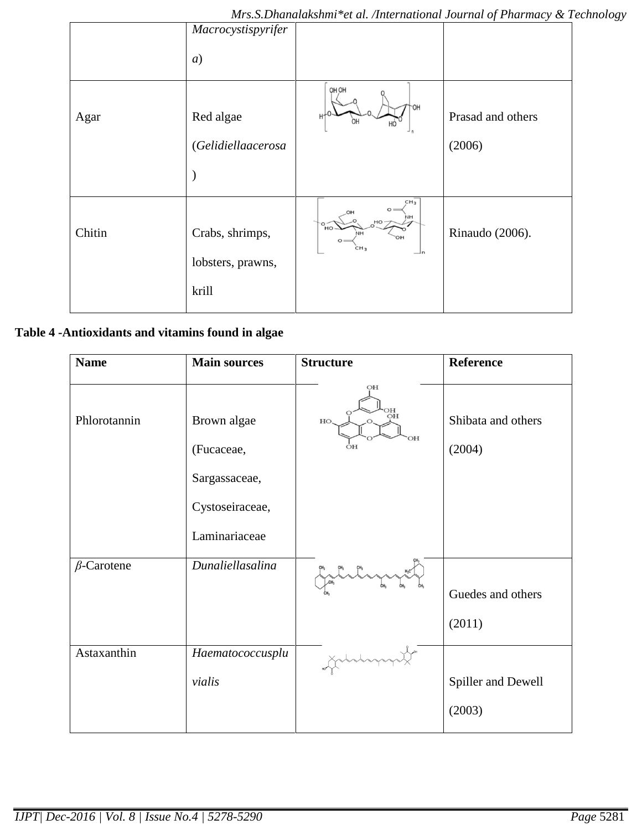|        | Macrocystispyrifer                   |                                                                                                                                  |                   |
|--------|--------------------------------------|----------------------------------------------------------------------------------------------------------------------------------|-------------------|
|        | $\left( a\right)$                    |                                                                                                                                  |                   |
| Agar   | Red algae                            | OH OH<br>OН                                                                                                                      | Prasad and others |
|        | (Gelidiellaacerosa                   |                                                                                                                                  | (2006)            |
|        |                                      |                                                                                                                                  |                   |
| Chitin | Crabs, shrimps,<br>lobsters, prawns, | CH <sub>3</sub><br>$\circ$ =<br>NH<br>$HO -$<br>$\frac{6}{10}$<br>NH<br>$O =$<br>CH <sub>3</sub><br>$\mathop{\rightharpoonup}$ n | Rinaudo (2006).   |
|        | krill                                |                                                                                                                                  |                   |

## **Table 4 -Antioxidants and vitamins found in algae**

| <b>Name</b>       | <b>Main sources</b> | <b>Structure</b> | <b>Reference</b>   |
|-------------------|---------------------|------------------|--------------------|
|                   |                     | OH               |                    |
| Phlorotannin      | Brown algae         | HC<br>OH<br>HO.  | Shibata and others |
|                   | (Fucaceae,          | OН<br>OН         | (2004)             |
|                   | Sargassaceae,       |                  |                    |
|                   | Cystoseiraceae,     |                  |                    |
|                   | Laminariaceae       |                  |                    |
| $\beta$ -Carotene | Dunaliellasalina    |                  |                    |
|                   |                     |                  | Guedes and others  |
|                   |                     |                  | (2011)             |
| Astaxanthin       | Haematococcusplu    |                  |                    |
|                   | vialis              |                  | Spiller and Dewell |
|                   |                     |                  | (2003)             |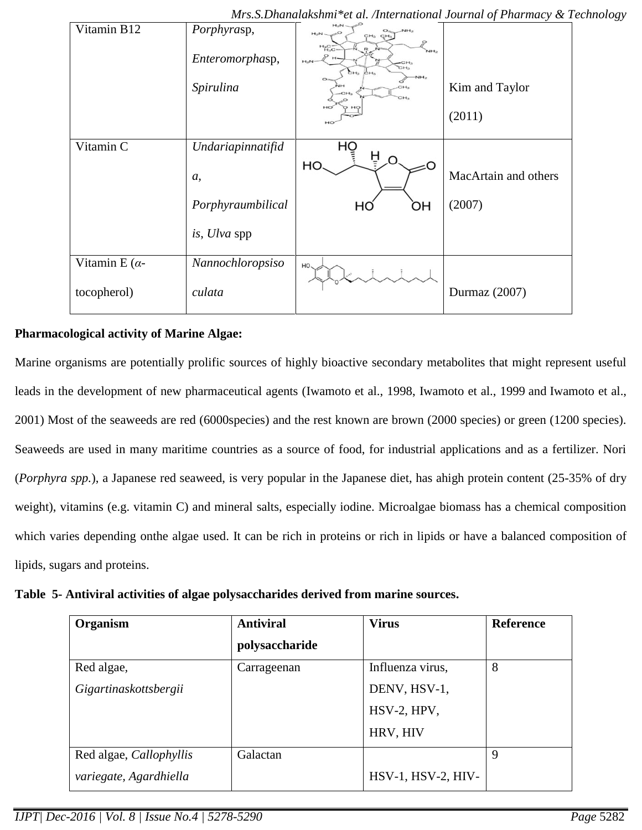| Vitamin B12     | Porphyrasp,<br>Enteromorphasp, | $H_2N$<br>NH <sub>2</sub><br>$H_2N$<br>CH <sub>3</sub> CH <sub>3</sub><br>$H_{13C}$<br>NH <sub>2</sub><br>$H -$<br>$H_2N$<br>CH <sub>3</sub><br><b>CH3</b> |                      |
|-----------------|--------------------------------|------------------------------------------------------------------------------------------------------------------------------------------------------------|----------------------|
|                 | Spirulina                      | CH <sub>3</sub> CH <sub>3</sub><br>NH <sub>2</sub><br>O <sub>2</sub><br>CH <sub>3</sub><br>CH3<br>CH <sub>3</sub>                                          | Kim and Taylor       |
|                 |                                | HO                                                                                                                                                         | (2011)               |
| Vitamin C       | Undariapinnatifid              | HQ<br>Ĥ                                                                                                                                                    |                      |
|                 | <i>a</i> ,                     | HO                                                                                                                                                         | MacArtain and others |
|                 | Porphyraumbilical              | ЮH<br>HO                                                                                                                                                   | (2007)               |
|                 | is, Ulva spp                   |                                                                                                                                                            |                      |
| Vitamin E $(a-$ | Nannochloropsiso               | HO.                                                                                                                                                        |                      |
| tocopherol)     | culata                         |                                                                                                                                                            | Durmaz (2007)        |

*Mrs.S.Dhanalakshmi\*et al. /International Journal of Pharmacy & Technology*

## **Pharmacological activity of Marine Algae:**

Marine organisms are potentially prolific sources of highly bioactive secondary metabolites that might represent useful leads in the development of new pharmaceutical agents [\(Iwamoto et al., 1998,](http://www.sciencedirect.com/science/article/pii/S1319016409000462#bib113) [Iwamoto et al., 1999](http://www.sciencedirect.com/science/article/pii/S1319016409000462#bib114) and [Iwamoto et al.,](http://www.sciencedirect.com/science/article/pii/S1319016409000462#bib115)  [2001\)](http://www.sciencedirect.com/science/article/pii/S1319016409000462#bib115) Most of the seaweeds are red (6000species) and the rest known are brown (2000 species) or green (1200 species). Seaweeds are used in many maritime countries as a source of food, for industrial applications and as a fertilizer. Nori (*Porphyra spp.*), a Japanese red seaweed, is very popular in the Japanese diet, has ahigh protein content (25-35% of dry weight), vitamins (e.g. vitamin C) and mineral salts, especially iodine. Microalgae biomass has a chemical composition which varies depending onthe algae used. It can be rich in proteins or rich in lipids or have a balanced composition of lipids, sugars and proteins.

**Table 5- Antiviral activities of algae polysaccharides derived from marine sources.**

| Organism                | <b>Antiviral</b> | <b>Virus</b>       | <b>Reference</b> |
|-------------------------|------------------|--------------------|------------------|
|                         | polysaccharide   |                    |                  |
| Red algae,              | Carrageenan      | Influenza virus,   | 8                |
| Gigartinaskottsbergii   |                  | DENV, HSV-1,       |                  |
|                         |                  | HSV-2, HPV,        |                  |
|                         |                  | HRV, HIV           |                  |
| Red algae, Callophyllis | Galactan         |                    | 9                |
| variegate, Agardhiella  |                  | HSV-1, HSV-2, HIV- |                  |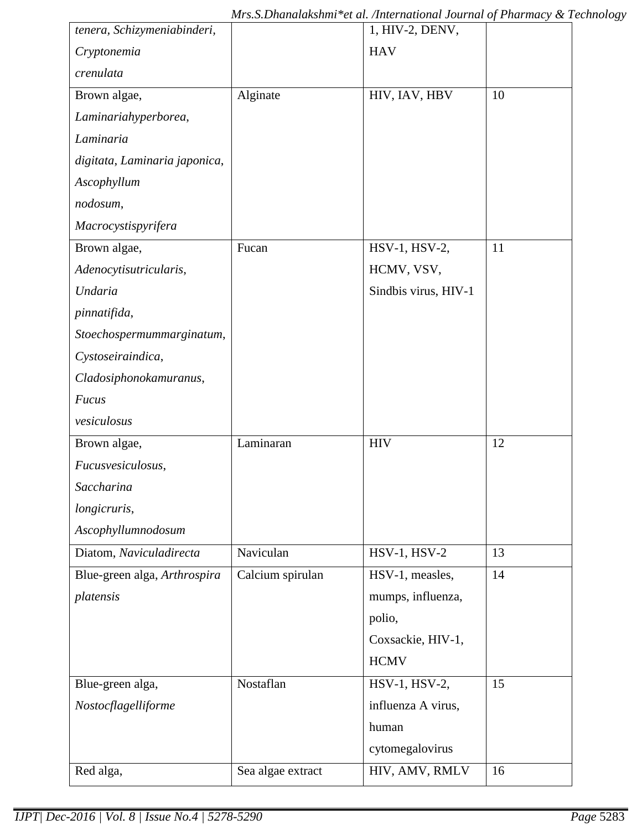| tenera, Schizymeniabinderi,   |                   | 1, HIV-2, DENV,      |    |
|-------------------------------|-------------------|----------------------|----|
| Cryptonemia                   |                   | <b>HAV</b>           |    |
| crenulata                     |                   |                      |    |
| Brown algae,                  | Alginate          | HIV, IAV, HBV        | 10 |
| Laminariahyperborea,          |                   |                      |    |
| Laminaria                     |                   |                      |    |
| digitata, Laminaria japonica, |                   |                      |    |
| Ascophyllum                   |                   |                      |    |
| nodosum,                      |                   |                      |    |
| Macrocystispyrifera           |                   |                      |    |
| Brown algae,                  | Fucan             | HSV-1, HSV-2,        | 11 |
| Adenocytisutricularis,        |                   | HCMV, VSV,           |    |
| Undaria                       |                   | Sindbis virus, HIV-1 |    |
| pinnatifida,                  |                   |                      |    |
| Stoechospermummarginatum,     |                   |                      |    |
| Cystoseiraindica,             |                   |                      |    |
| Cladosiphonokamuranus,        |                   |                      |    |
| <b>Fucus</b>                  |                   |                      |    |
| vesiculosus                   |                   |                      |    |
| Brown algae,                  | Laminaran         | <b>HIV</b>           | 12 |
| Fucusvesiculosus,             |                   |                      |    |
| Saccharina                    |                   |                      |    |
| longicruris,                  |                   |                      |    |
| Ascophyllumnodosum            |                   |                      |    |
| Diatom, Naviculadirecta       | Naviculan         | <b>HSV-1, HSV-2</b>  | 13 |
| Blue-green alga, Arthrospira  | Calcium spirulan  | HSV-1, measles,      | 14 |
| platensis                     |                   | mumps, influenza,    |    |
|                               |                   | polio,               |    |
|                               |                   | Coxsackie, HIV-1,    |    |
|                               |                   | <b>HCMV</b>          |    |
| Blue-green alga,              | Nostaflan         | HSV-1, HSV-2,        | 15 |
| Nostocflagelliforme           |                   | influenza A virus,   |    |
|                               |                   | human                |    |
|                               |                   | cytomegalovirus      |    |
| Red alga,                     | Sea algae extract | HIV, AMV, RMLV       | 16 |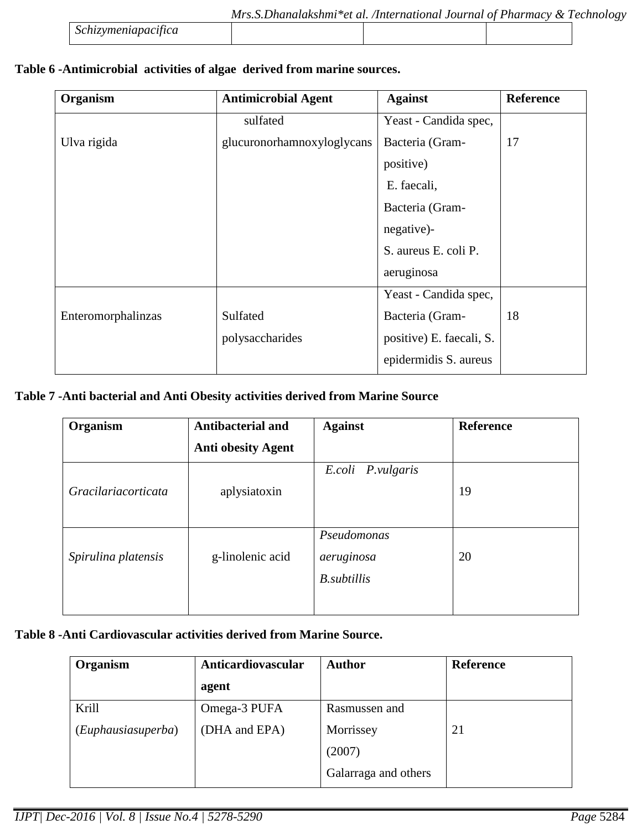|                     | Mrs.S.Dhanalakshmi*et al. /International Journal of Pharmacy & Technology |  |  |
|---------------------|---------------------------------------------------------------------------|--|--|
| Schizymeniapacifica |                                                                           |  |  |

## **Table 6 -Antimicrobial activities of algae derived from marine sources.**

| Organism           | <b>Antimicrobial Agent</b> | <b>Against</b>           | <b>Reference</b> |
|--------------------|----------------------------|--------------------------|------------------|
|                    | sulfated                   | Yeast - Candida spec,    |                  |
| Ulva rigida        | glucuronorhamnoxyloglycans | Bacteria (Gram-          | 17               |
|                    |                            | positive)                |                  |
|                    |                            | E. faecali,              |                  |
|                    |                            | Bacteria (Gram-          |                  |
|                    |                            | negative)-               |                  |
|                    |                            | S. aureus E. coli P.     |                  |
|                    |                            | aeruginosa               |                  |
|                    |                            | Yeast - Candida spec,    |                  |
| Enteromorphalinzas | Sulfated                   | Bacteria (Gram-          | 18               |
|                    | polysaccharides            | positive) E. faecali, S. |                  |
|                    |                            | epidermidis S. aureus    |                  |

### **Table 7 -Anti bacterial and Anti Obesity activities derived from Marine Source**

| Organism            | <b>Antibacterial and</b>  | <b>Against</b>                                   | <b>Reference</b> |
|---------------------|---------------------------|--------------------------------------------------|------------------|
|                     | <b>Anti obesity Agent</b> |                                                  |                  |
| Gracilariacorticata | aplysiatoxin              | E.coli P.vulgaris                                | 19               |
| Spirulina platensis | g-linolenic acid          | Pseudomonas<br>aeruginosa<br><b>B.</b> subtillis | 20               |

## **Table 8 -Anti Cardiovascular activities derived from Marine Source.**

| Organism           | Anticardiovascular | <b>Author</b>        | <b>Reference</b> |
|--------------------|--------------------|----------------------|------------------|
|                    | agent              |                      |                  |
| Krill              | Omega-3 PUFA       | Rasmussen and        |                  |
| (Euphausiasuperba) | (DHA and EPA)      | Morrissey            | 21               |
|                    |                    | (2007)               |                  |
|                    |                    | Galarraga and others |                  |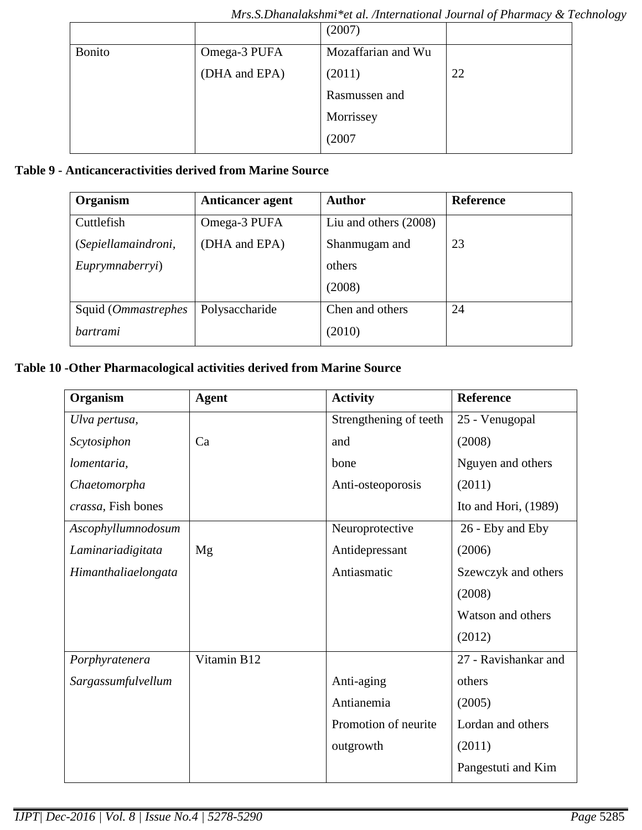|               |               | (2007)             |    |
|---------------|---------------|--------------------|----|
| <b>Bonito</b> | Omega-3 PUFA  | Mozaffarian and Wu |    |
|               | (DHA and EPA) | (2011)             | 22 |
|               |               | Rasmussen and      |    |
|               |               | Morrissey          |    |
|               |               | (2007)             |    |

# **Table 9 - Anticanceractivities derived from Marine Source**

| Organism                    | <b>Anticancer agent</b> | <b>Author</b>           | <b>Reference</b> |
|-----------------------------|-------------------------|-------------------------|------------------|
| Cuttlefish                  | Omega-3 PUFA            | Liu and others $(2008)$ |                  |
| (Sepiellamaindroni,         | (DHA and EPA)           | Shanmugam and           | 23               |
| Euprymnaberryi)             |                         | others                  |                  |
|                             |                         | (2008)                  |                  |
| Squid ( <i>Ommastrephes</i> | Polysaccharide          | Chen and others         | 24               |
| bartrami                    |                         | (2010)                  |                  |

# **Table 10 -Other Pharmacological activities derived from Marine Source**

| Organism            | <b>Agent</b> | <b>Activity</b>        | <b>Reference</b>     |
|---------------------|--------------|------------------------|----------------------|
| Ulva pertusa,       |              | Strengthening of teeth | 25 - Venugopal       |
| Scytosiphon         | Ca           | and                    | (2008)               |
| lomentaria,         |              | bone                   | Nguyen and others    |
| Chaetomorpha        |              | Anti-osteoporosis      | (2011)               |
| crassa, Fish bones  |              |                        | Ito and Hori, (1989) |
| Ascophyllumnodosum  |              | Neuroprotective        | 26 - Eby and Eby     |
| Laminariadigitata   | Mg           | Antidepressant         | (2006)               |
| Himanthaliaelongata |              | Antiasmatic            | Szewczyk and others  |
|                     |              |                        | (2008)               |
|                     |              |                        | Watson and others    |
|                     |              |                        | (2012)               |
| Porphyratenera      | Vitamin B12  |                        | 27 - Ravishankar and |
| Sargassumfulvellum  |              | Anti-aging             | others               |
|                     |              | Antianemia             | (2005)               |
|                     |              | Promotion of neurite   | Lordan and others    |
|                     |              | outgrowth              | (2011)               |
|                     |              |                        | Pangestuti and Kim   |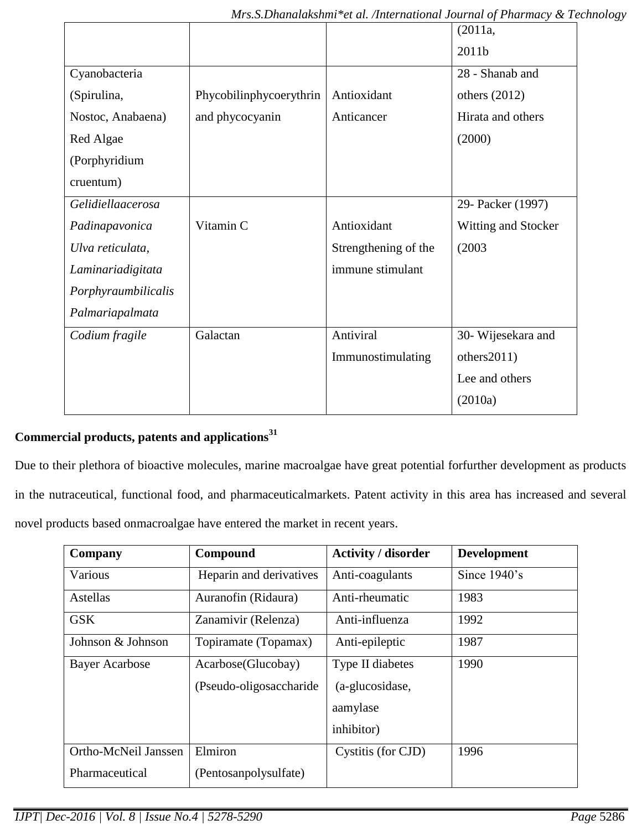|                         |                      | (2011a,                    |
|-------------------------|----------------------|----------------------------|
|                         |                      | 2011b                      |
|                         |                      | 28 - Shanab and            |
| Phycobilinphycoerythrin | Antioxidant          | others $(2012)$            |
| and phycocyanin         | Anticancer           | Hirata and others          |
|                         |                      | (2000)                     |
|                         |                      |                            |
|                         |                      |                            |
|                         |                      | 29- Packer (1997)          |
| Vitamin C               | Antioxidant          | <b>Witting and Stocker</b> |
|                         | Strengthening of the | (2003)                     |
|                         | immune stimulant     |                            |
|                         |                      |                            |
|                         |                      |                            |
| Galactan                | Antiviral            | 30- Wijesekara and         |
|                         | Immunostimulating    | others2011)                |
|                         |                      | Lee and others             |
|                         |                      | (2010a)                    |
|                         |                      |                            |

## **Commercial products, patents and applications<sup>31</sup>**

Due to their plethora of bioactive molecules, marine macroalgae have great potential forfurther development as products in the nutraceutical, functional food, and pharmaceuticalmarkets. Patent activity in this area has increased and several novel products based onmacroalgae have entered the market in recent years.

| Company               | Compound                                       | <b>Activity / disorder</b>                                    | <b>Development</b> |
|-----------------------|------------------------------------------------|---------------------------------------------------------------|--------------------|
| Various               | Heparin and derivatives                        | Anti-coagulants                                               | Since 1940's       |
| Astellas              | Auranofin (Ridaura)                            | Anti-rheumatic                                                | 1983               |
| <b>GSK</b>            | Zanamivir (Relenza)                            | Anti-influenza                                                | 1992               |
| Johnson & Johnson     | Topiramate (Topamax)                           | Anti-epileptic                                                | 1987               |
| <b>Bayer Acarbose</b> | Acarbose(Glucobay)<br>(Pseudo-oligosaccharide) | Type II diabetes<br>(a-glucosidase,<br>aamylase<br>inhibitor) | 1990               |
| Ortho-McNeil Janssen  | Elmiron                                        | Cystitis (for CJD)                                            | 1996               |
| Pharmaceutical        | (Pentosanpolysulfate)                          |                                                               |                    |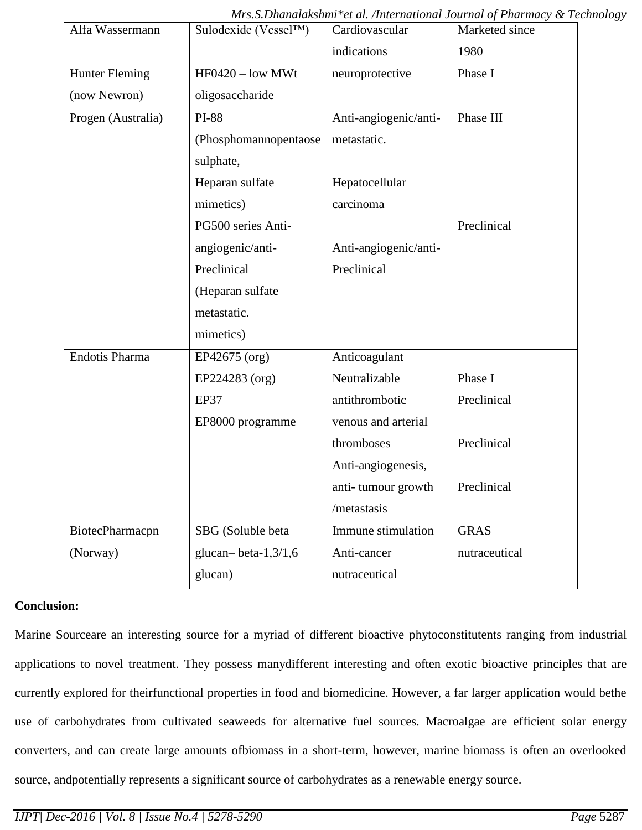| Alfa Wassermann    | Sulodexide (Vessel $TM$ ) | Cardiovascular        | Marketed since |
|--------------------|---------------------------|-----------------------|----------------|
|                    |                           | indications           | 1980           |
| Hunter Fleming     | $HF0420 - low MWt$        | neuroprotective       | Phase I        |
| (now Newron)       | oligosaccharide           |                       |                |
| Progen (Australia) | <b>PI-88</b>              | Anti-angiogenic/anti- | Phase III      |
|                    | (Phosphomannopentaose     | metastatic.           |                |
|                    | sulphate,                 |                       |                |
|                    | Heparan sulfate           | Hepatocellular        |                |
|                    | mimetics)                 | carcinoma             |                |
|                    | PG500 series Anti-        |                       | Preclinical    |
|                    | angiogenic/anti-          | Anti-angiogenic/anti- |                |
|                    | Preclinical               | Preclinical           |                |
|                    | (Heparan sulfate          |                       |                |
|                    | metastatic.               |                       |                |
|                    | mimetics)                 |                       |                |
| Endotis Pharma     | EP42675 (org)             | Anticoagulant         |                |
|                    | EP224283 (org)            | Neutralizable         | Phase I        |
|                    | EP37                      | antithrombotic        | Preclinical    |
|                    | EP8000 programme          | venous and arterial   |                |
|                    |                           | thromboses            | Preclinical    |
|                    |                           | Anti-angiogenesis,    |                |
|                    |                           | anti-tumour growth    | Preclinical    |
|                    |                           | /metastasis           |                |
| BiotecPharmacpn    | SBG (Soluble beta         | Immune stimulation    | <b>GRAS</b>    |
| (Norway)           | glucan-beta- $1,3/1,6$    | Anti-cancer           | nutraceutical  |
|                    | glucan)                   | nutraceutical         |                |

*Mrs.S.Dhanalakshmi\*et al. /International Journal of Pharmacy & Technology*

#### **Conclusion:**

Marine Sourceare an interesting source for a myriad of different bioactive phytoconstitutents ranging from industrial applications to novel treatment. They possess manydifferent interesting and often exotic bioactive principles that are currently explored for theirfunctional properties in food and biomedicine. However, a far larger application would bethe use of carbohydrates from cultivated seaweeds for alternative fuel sources. Macroalgae are efficient solar energy converters, and can create large amounts ofbiomass in a short-term, however, marine biomass is often an overlooked source, andpotentially represents a significant source of carbohydrates as a renewable energy source.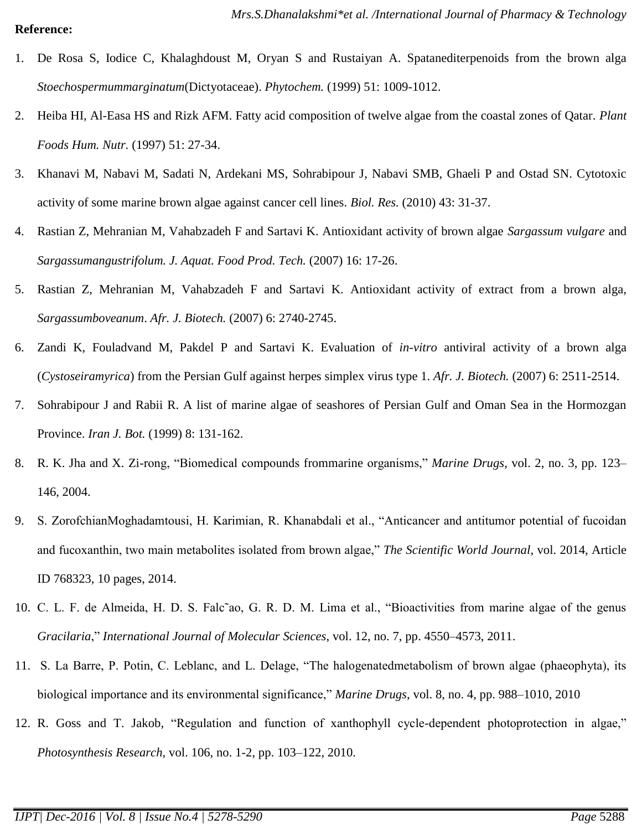#### **Reference:**

- 1. De Rosa S, Iodice C, Khalaghdoust M, Oryan S and Rustaiyan A. Spatanediterpenoids from the brown alga *Stoechospermummarginatum*(Dictyotaceae). *Phytochem.* (1999) 51: 1009-1012.
- 2. Heiba HI, Al-Easa HS and Rizk AFM. Fatty acid composition of twelve algae from the coastal zones of Qatar. *Plant Foods Hum. Nutr.* (1997) 51: 27-34.
- 3. Khanavi M, Nabavi M, Sadati N, Ardekani MS, Sohrabipour J, Nabavi SMB, Ghaeli P and Ostad SN. Cytotoxic activity of some marine brown algae against cancer cell lines. *Biol. Res.* (2010) 43: 31-37.
- 4. Rastian Z, Mehranian M, Vahabzadeh F and Sartavi K. Antioxidant activity of brown algae *Sargassum vulgare* and *Sargassumangustrifolum. J. Aquat. Food Prod. Tech.* (2007) 16: 17-26.
- 5. Rastian Z, Mehranian M, Vahabzadeh F and Sartavi K. Antioxidant activity of extract from a brown alga, *Sargassumboveanum*. *Afr. J. Biotech.* (2007) 6: 2740-2745.
- 6. Zandi K, Fouladvand M, Pakdel P and Sartavi K. Evaluation of *in-vitro* antiviral activity of a brown alga (*Cystoseiramyrica*) from the Persian Gulf against herpes simplex virus type 1. *Afr. J. Biotech.* (2007) 6: 2511-2514.
- 7. Sohrabipour J and Rabii R. A list of marine algae of seashores of Persian Gulf and Oman Sea in the Hormozgan Province. *Iran J. Bot.* (1999) 8: 131-162.
- 8. R. K. Jha and X. Zi-rong, "Biomedical compounds frommarine organisms," *Marine Drugs*, vol. 2, no. 3, pp. 123– 146, 2004.
- 9. S. ZorofchianMoghadamtousi, H. Karimian, R. Khanabdali et al., "Anticancer and antitumor potential of fucoidan and fucoxanthin, two main metabolites isolated from brown algae," *The Scientific World Journal*, vol. 2014, Article ID 768323, 10 pages, 2014.
- 10. C. L. F. de Almeida, H. D. S. Falc˜ao, G. R. D. M. Lima et al., "Bioactivities from marine algae of the genus *Gracilaria*," *International Journal of Molecular Sciences*, vol. 12, no. 7, pp. 4550–4573, 2011.
- 11. S. La Barre, P. Potin, C. Leblanc, and L. Delage, "The halogenatedmetabolism of brown algae (phaeophyta), its biological importance and its environmental significance," *Marine Drugs*, vol. 8, no. 4, pp. 988–1010, 2010
- 12. R. Goss and T. Jakob, "Regulation and function of xanthophyll cycle-dependent photoprotection in algae," *Photosynthesis Research*, vol. 106, no. 1-2, pp. 103–122, 2010.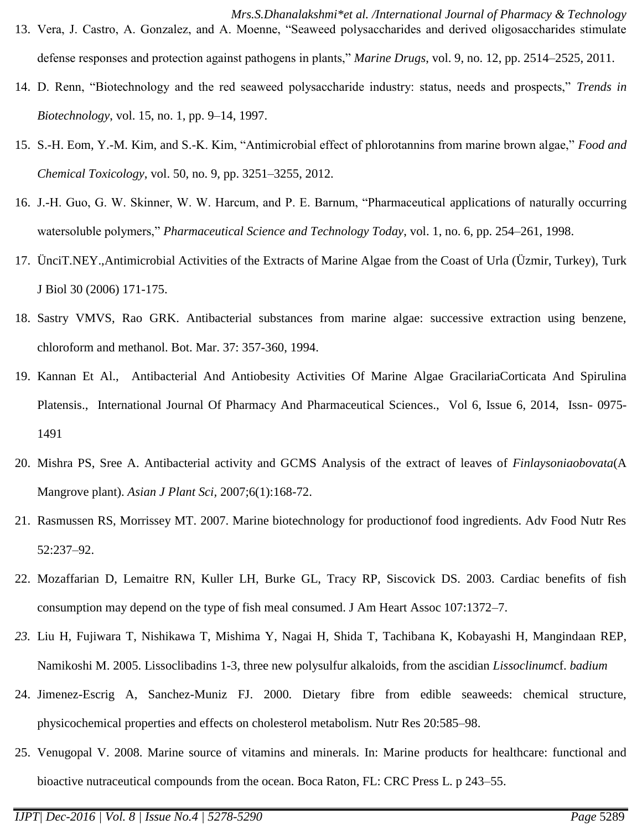- *Mrs.S.Dhanalakshmi\*et al. /International Journal of Pharmacy & Technology* 13. Vera, J. Castro, A. Gonzalez, and A. Moenne, "Seaweed polysaccharides and derived oligosaccharides stimulate defense responses and protection against pathogens in plants," *Marine Drugs*, vol. 9, no. 12, pp. 2514–2525, 2011.
- 14. D. Renn, "Biotechnology and the red seaweed polysaccharide industry: status, needs and prospects," *Trends in Biotechnology*, vol. 15, no. 1, pp. 9–14, 1997.
- 15. S.-H. Eom, Y.-M. Kim, and S.-K. Kim, "Antimicrobial effect of phlorotannins from marine brown algae," *Food and Chemical Toxicology*, vol. 50, no. 9, pp. 3251–3255, 2012.
- 16. J.-H. Guo, G. W. Skinner, W. W. Harcum, and P. E. Barnum, "Pharmaceutical applications of naturally occurring watersoluble polymers," *Pharmaceutical Science and Technology Today*, vol. 1, no. 6, pp. 254–261, 1998.
- 17. ÜnciT.NEY.,Antimicrobial Activities of the Extracts of Marine Algae from the Coast of Urla (Üzmir, Turkey), Turk J Biol 30 (2006) 171-175.
- 18. Sastry VMVS, Rao GRK. Antibacterial substances from marine algae: successive extraction using benzene, chloroform and methanol. Bot. Mar. 37: 357-360, 1994.
- 19. Kannan Et Al., Antibacterial And Antiobesity Activities Of Marine Algae GracilariaCorticata And Spirulina Platensis., International Journal Of Pharmacy And Pharmaceutical Sciences., Vol 6, Issue 6, 2014, Issn- 0975- 1491
- 20. Mishra PS, Sree A. Antibacterial activity and GCMS Analysis of the extract of leaves of *Finlaysoniaobovata*(A Mangrove plant). *Asian J Plant Sci,* 2007;6(1):168-72.
- 21. Rasmussen RS, Morrissey MT. 2007. Marine biotechnology for productionof food ingredients. Adv Food Nutr Res 52:237–92.
- 22. Mozaffarian D, Lemaitre RN, Kuller LH, Burke GL, Tracy RP, Siscovick DS. 2003. Cardiac benefits of fish consumption may depend on the type of fish meal consumed. J Am Heart Assoc 107:1372–7.
- *23.* Liu H, Fujiwara T, Nishikawa T, Mishima Y, Nagai H, Shida T, Tachibana K, Kobayashi H, Mangindaan REP, Namikoshi M. 2005. Lissoclibadins 1-3, three new polysulfur alkaloids, from the ascidian *Lissoclinum*cf. *badium*
- 24. Jimenez-Escrig A, Sanchez-Muniz FJ. 2000. Dietary fibre from edible seaweeds: chemical structure, physicochemical properties and effects on cholesterol metabolism. Nutr Res 20:585–98.
- 25. Venugopal V. 2008. Marine source of vitamins and minerals. In: Marine products for healthcare: functional and bioactive nutraceutical compounds from the ocean. Boca Raton, FL: CRC Press L. p 243–55.